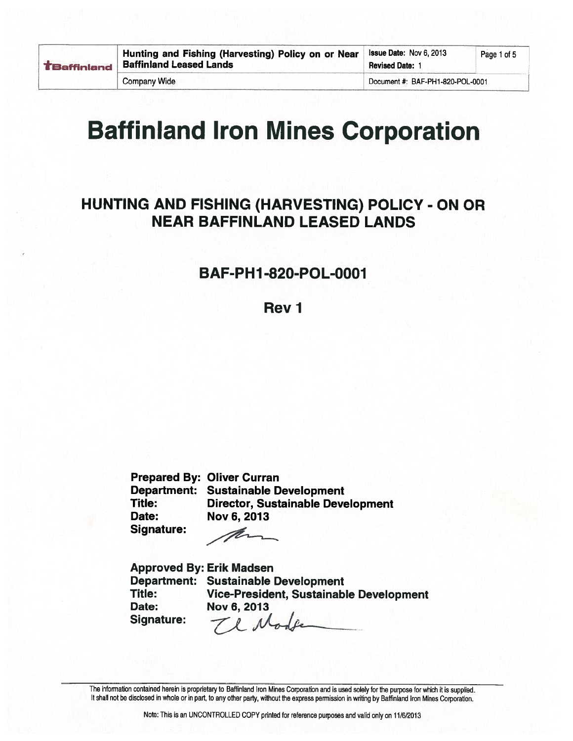| <b>TBaffiniand</b> | ۲ |
|--------------------|---|
|                    |   |

**Company Wide** 

# **Baffinland Iron Mines Corporation**

## HUNTING AND FISHING (HARVESTING) POLICY - ON OR **NEAR BAFFINLAND LEASED LANDS**

### **BAF-PH1-820-POL-0001**

Rev<sub>1</sub>

**Prepared By: Oliver Curran Department: Sustainable Development** Title: **Director, Sustainable Development** Date: Nov 6, 2013 **Signature:** 

Ĥ-

**Approved By: Erik Madsen** Department: Sustainable Development Title: Vice-President, Sustainable Development Date: Nov 6, 2013 Te Mode Signature:

The information contained herein is proprietary to Baffinland Iron Mines Corporation and is used solely for the purpose for which it is supplied. It shall not be disclosed in whole or in part, to any other party, without the express permission in writing by Baffinland Iron Mines Corporation.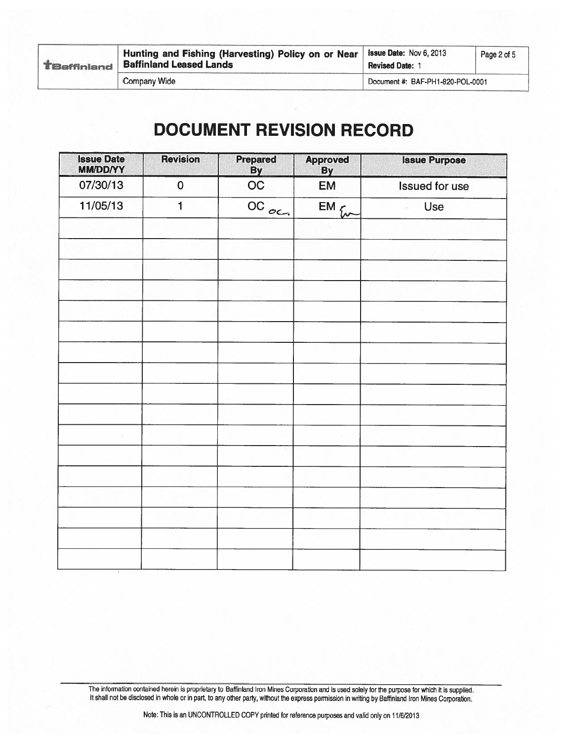|  | Hunting and Fishing (Harvesting) Policy on or Near<br><b>TBaffinland</b> Baffinland Leased Lands | <b>Issue Date: Nov 6, 2013</b><br><b>Revised Date: 1</b> | Page 2 of 5 |
|--|--------------------------------------------------------------------------------------------------|----------------------------------------------------------|-------------|
|  | <b>Company Wide</b>                                                                              | Document #: BAF-PH1-820-POL-0001                         |             |

# **DOCUMENT REVISION RECORD**

| <b>Issue Date</b><br><b>MM/DD/YY</b> | <b>Revision</b> | Prepared<br>By       | <b>Approved</b><br><b>By</b> | <b>Issue Purpose</b>  |
|--------------------------------------|-----------------|----------------------|------------------------------|-----------------------|
| 07/30/13                             | $\mathbf 0$     | OC                   | <b>EM</b>                    | <b>Issued for use</b> |
| 11/05/13                             | $\mathbf{1}$    | $\overline{OC}_{OC}$ | $EM_{f}$                     | <b>Use</b>            |
|                                      |                 |                      |                              |                       |
|                                      |                 |                      |                              |                       |
|                                      |                 |                      |                              |                       |
|                                      |                 |                      |                              |                       |
|                                      |                 |                      |                              |                       |
|                                      |                 |                      |                              |                       |
|                                      |                 |                      |                              |                       |
|                                      |                 |                      |                              |                       |
|                                      |                 |                      |                              |                       |
|                                      |                 |                      |                              |                       |
|                                      |                 |                      |                              |                       |
|                                      |                 |                      |                              |                       |
|                                      |                 |                      |                              |                       |
|                                      |                 |                      |                              |                       |
|                                      |                 |                      |                              |                       |
|                                      |                 |                      |                              |                       |
|                                      |                 |                      |                              |                       |
|                                      |                 |                      |                              |                       |

The information contained herein is proprietary to Baffinland Iron Mines Corporation and is used solely for the purpose for which it is supplied.<br>It shall not be disclosed in whole or in part, to any other party, without t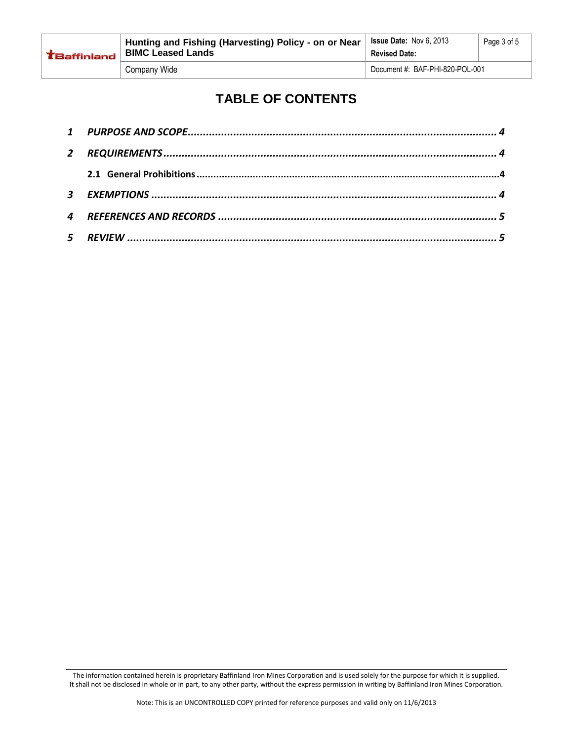| <b>TBaffinland</b> | Hunting and Fishing (Harvesting) Policy - on or Near<br><b>BIMC Leased Lands</b> | <b>Issue Date: Nov 6, 2013</b><br><b>Revised Date:</b> | Page 3 of 5 |
|--------------------|----------------------------------------------------------------------------------|--------------------------------------------------------|-------------|
|                    | Company Wide                                                                     | Document #: BAF-PHI-820-POL-001                        |             |

## **TABLE OF CONTENTS**

| $\mathbf{2}$ |  |
|--------------|--|
|              |  |
|              |  |
|              |  |
|              |  |

The information contained herein is proprietary Baffinland Iron Mines Corporation and is used solely for the purpose for which it is supplied. It shall not be disclosed in whole or in part, to any other party, without the express permission in writing by Baffinland Iron Mines Corporation.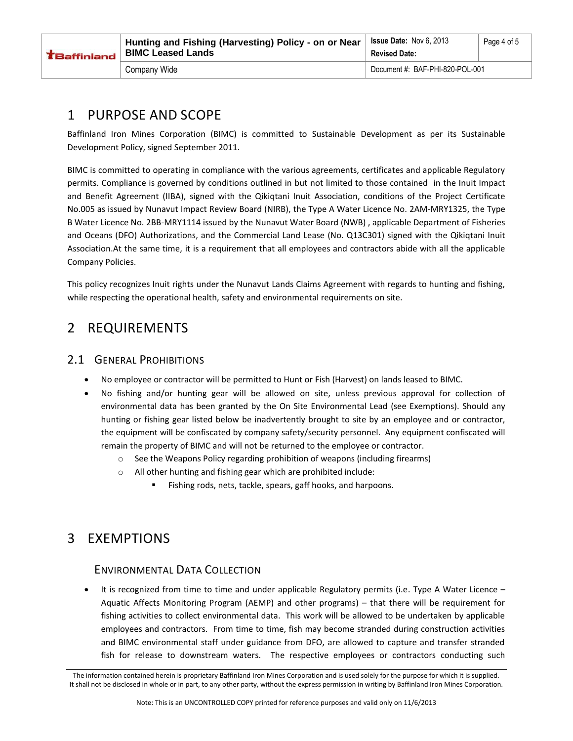| <b>TBaffinland</b> | Hunting and Fishing (Harvesting) Policy - on or Near<br><b>BIMC Leased Lands</b> | $^{\circ}$ Issue Date: Nov 6, 2013<br><b>Revised Date:</b> | Page 4 of 5 |
|--------------------|----------------------------------------------------------------------------------|------------------------------------------------------------|-------------|
|                    | Company Wide                                                                     | Document #: BAF-PHI-820-POL-001                            |             |

#### <span id="page-3-0"></span>1 PURPOSE AND SCOPE

Baffinland Iron Mines Corporation (BIMC) is committed to Sustainable Development as per its Sustainable Development Policy, signed September 2011.

BIMC is committed to operating in compliance with the various agreements, certificates and applicable Regulatory permits. Compliance is governed by conditions outlined in but not limited to those contained in the Inuit Impact and Benefit Agreement (IIBA), signed with the Qikiqtani Inuit Association, conditions of the Project Certificate No.005 as issued by Nunavut Impact Review Board (NIRB), the Type A Water Licence No. 2AM-MRY1325, the Type B Water Licence No. 2BB-MRY1114 issued by the Nunavut Water Board (NWB) , applicable Department of Fisheries and Oceans (DFO) Authorizations, and the Commercial Land Lease (No. Q13C301) signed with the Qikiqtani Inuit Association.At the same time, it is a requirement that all employees and contractors abide with all the applicable Company Policies.

This policy recognizes Inuit rights under the Nunavut Lands Claims Agreement with regards to hunting and fishing, while respecting the operational health, safety and environmental requirements on site.

#### <span id="page-3-1"></span>2 REQUIREMENTS

#### <span id="page-3-2"></span>2.1 GENERAL PROHIBITIONS

- No employee or contractor will be permitted to Hunt or Fish (Harvest) on lands leased to BIMC.
- No fishing and/or hunting gear will be allowed on site, unless previous approval for collection of environmental data has been granted by the On Site Environmental Lead (see Exemptions). Should any hunting or fishing gear listed below be inadvertently brought to site by an employee and or contractor, the equipment will be confiscated by company safety/security personnel. Any equipment confiscated will remain the property of BIMC and will not be returned to the employee or contractor.
	- $\circ$  See the Weapons Policy regarding prohibition of weapons (including firearms)
	- o All other hunting and fishing gear which are prohibited include:
		- Fishing rods, nets, tackle, spears, gaff hooks, and harpoons.

#### <span id="page-3-3"></span>3 EXEMPTIONS

#### ENVIRONMENTAL DATA COLLECTION

 It is recognized from time to time and under applicable Regulatory permits (i.e. Type A Water Licence – Aquatic Affects Monitoring Program (AEMP) and other programs) – that there will be requirement for fishing activities to collect environmental data. This work will be allowed to be undertaken by applicable employees and contractors. From time to time, fish may become stranded during construction activities and BIMC environmental staff under guidance from DFO, are allowed to capture and transfer stranded fish for release to downstream waters. The respective employees or contractors conducting such

The information contained herein is proprietary Baffinland Iron Mines Corporation and is used solely for the purpose for which it is supplied. It shall not be disclosed in whole or in part, to any other party, without the express permission in writing by Baffinland Iron Mines Corporation.